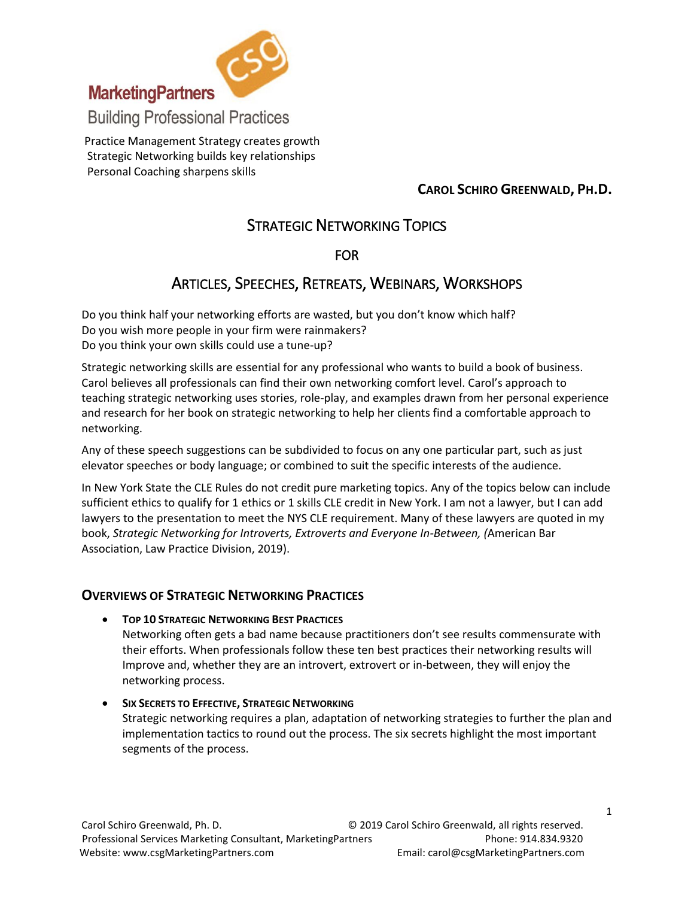

Practice Management Strategy creates growth Strategic Networking builds key relationships Personal Coaching sharpens skills

## **CAROL SCHIRO GREENWALD, PH.D.**

# STRATEGIC NETWORKING TOPICS

## FOR

## ARTICLES, SPEECHES, RETREATS, WEBINARS, WORKSHOPS

Do you think half your networking efforts are wasted, but you don't know which half? Do you wish more people in your firm were rainmakers? Do you think your own skills could use a tune-up?

Strategic networking skills are essential for any professional who wants to build a book of business. Carol believes all professionals can find their own networking comfort level. Carol's approach to teaching strategic networking uses stories, role-play, and examples drawn from her personal experience and research for her book on strategic networking to help her clients find a comfortable approach to networking.

Any of these speech suggestions can be subdivided to focus on any one particular part, such as just elevator speeches or body language; or combined to suit the specific interests of the audience.

In New York State the CLE Rules do not credit pure marketing topics. Any of the topics below can include sufficient ethics to qualify for 1 ethics or 1 skills CLE credit in New York. I am not a lawyer, but I can add lawyers to the presentation to meet the NYS CLE requirement. Many of these lawyers are quoted in my book, *Strategic Networking for Introverts, Extroverts and Everyone In-Between, (*American Bar Association, Law Practice Division, 2019).

## **OVERVIEWS OF STRATEGIC NETWORKING PRACTICES**

**TOP 10 STRATEGIC NETWORKING BEST PRACTICES**

Networking often gets a bad name because practitioners don't see results commensurate with their efforts. When professionals follow these ten best practices their networking results will Improve and, whether they are an introvert, extrovert or in-between, they will enjoy the networking process.

 **SIX SECRETS TO EFFECTIVE, STRATEGIC NETWORKING** Strategic networking requires a plan, adaptation of networking strategies to further the plan and implementation tactics to round out the process. The six secrets highlight the most important segments of the process.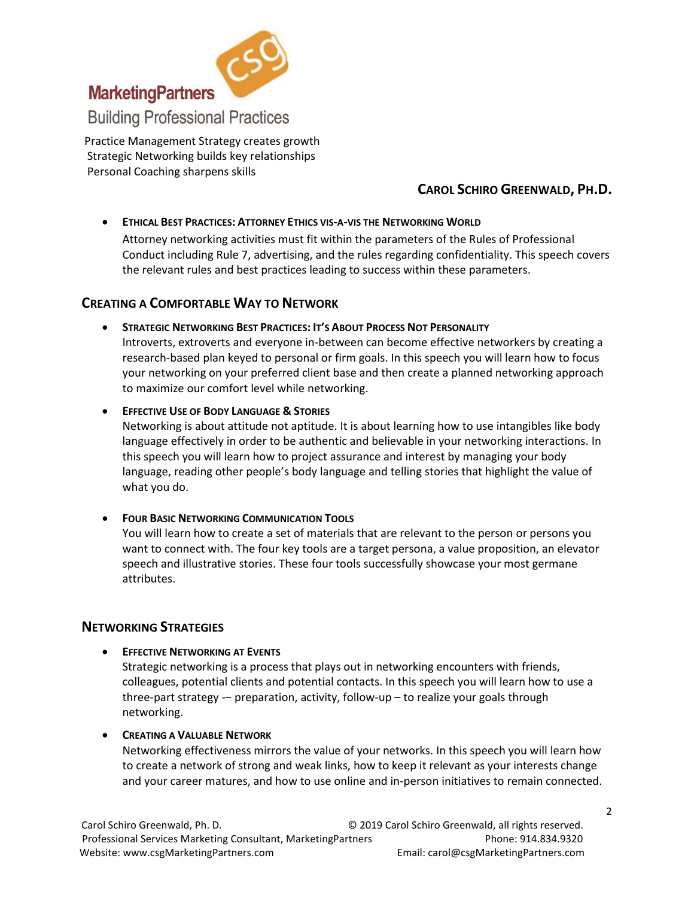

Practice Management Strategy creates growth Strategic Networking builds key relationships Personal Coaching sharpens skills

## **CAROL SCHIRO GREENWALD, PH.D.**

### **ETHICAL BEST PRACTICES: ATTORNEY ETHICS VIS-A-VIS THE NETWORKING WORLD**

Attorney networking activities must fit within the parameters of the Rules of Professional Conduct including Rule 7, advertising, and the rules regarding confidentiality. This speech covers the relevant rules and best practices leading to success within these parameters.

## **CREATING A COMFORTABLE WAY TO NETWORK**

**STRATEGIC NETWORKING BEST PRACTICES: IT'S ABOUT PROCESS NOT PERSONALITY**

Introverts, extroverts and everyone in-between can become effective networkers by creating a research-based plan keyed to personal or firm goals. In this speech you will learn how to focus your networking on your preferred client base and then create a planned networking approach to maximize our comfort level while networking.

**EFFECTIVE USE OF BODY LANGUAGE & STORIES**

Networking is about attitude not aptitude. It is about learning how to use intangibles like body language effectively in order to be authentic and believable in your networking interactions. In this speech you will learn how to project assurance and interest by managing your body language, reading other people's body language and telling stories that highlight the value of what you do.

#### **FOUR BASIC NETWORKING COMMUNICATION TOOLS**

You will learn how to create a set of materials that are relevant to the person or persons you want to connect with. The four key tools are a target persona, a value proposition, an elevator speech and illustrative stories. These four tools successfully showcase your most germane attributes.

## **NETWORKING STRATEGIES**

**EFFECTIVE NETWORKING AT EVENTS**

Strategic networking is a process that plays out in networking encounters with friends, colleagues, potential clients and potential contacts. In this speech you will learn how to use a three-part strategy -− preparation, activity, follow-up – to realize your goals through networking.

**CREATING A VALUABLE NETWORK**

Networking effectiveness mirrors the value of your networks. In this speech you will learn how to create a network of strong and weak links, how to keep it relevant as your interests change and your career matures, and how to use online and in-person initiatives to remain connected.